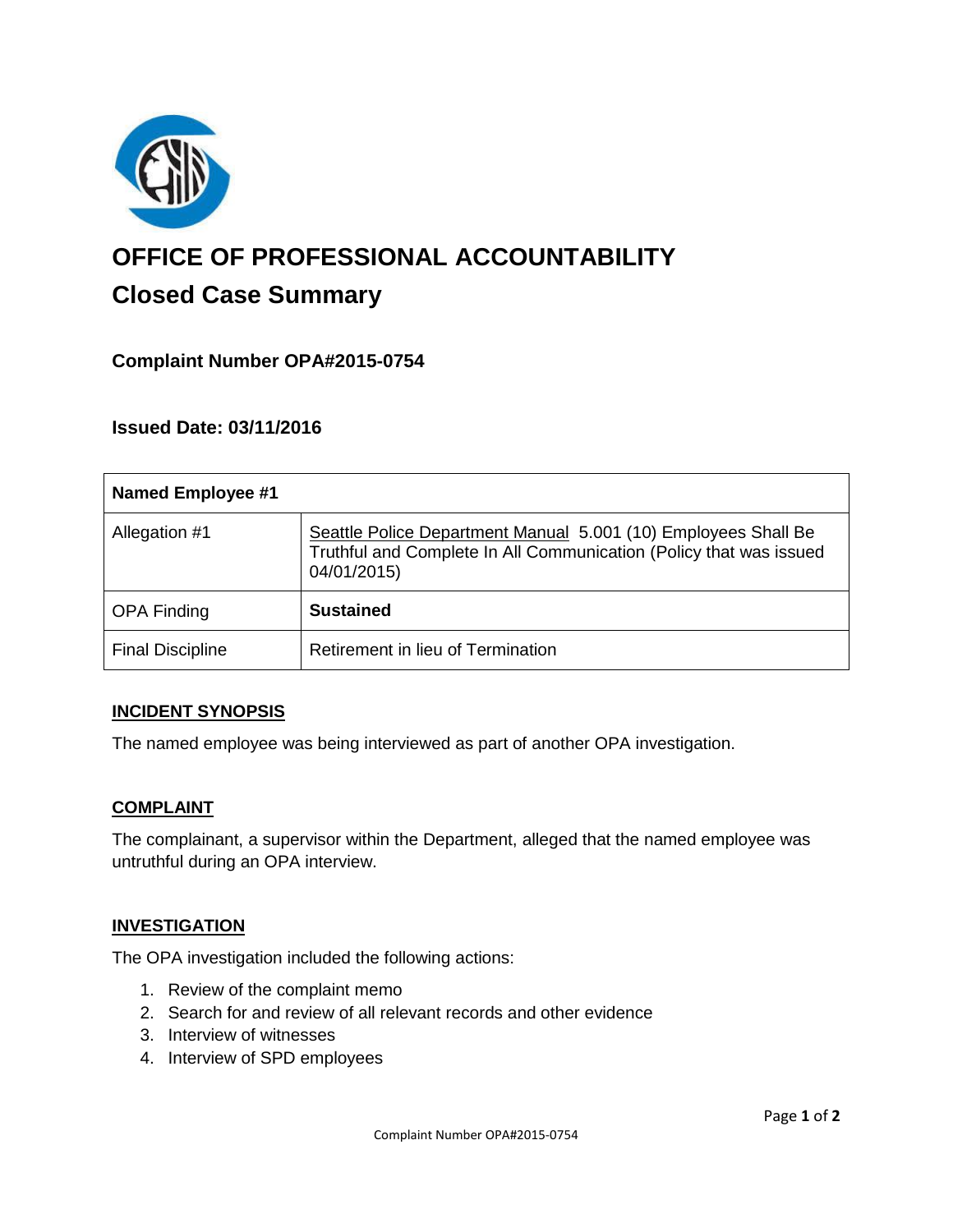

# **OFFICE OF PROFESSIONAL ACCOUNTABILITY Closed Case Summary**

## **Complaint Number OPA#2015-0754**

**Issued Date: 03/11/2016**

| <b>Named Employee #1</b> |                                                                                                                                                     |
|--------------------------|-----------------------------------------------------------------------------------------------------------------------------------------------------|
| Allegation #1            | Seattle Police Department Manual 5.001 (10) Employees Shall Be<br>Truthful and Complete In All Communication (Policy that was issued<br>04/01/2015) |
| <b>OPA Finding</b>       | <b>Sustained</b>                                                                                                                                    |
| <b>Final Discipline</b>  | Retirement in lieu of Termination                                                                                                                   |

#### **INCIDENT SYNOPSIS**

The named employee was being interviewed as part of another OPA investigation.

#### **COMPLAINT**

The complainant, a supervisor within the Department, alleged that the named employee was untruthful during an OPA interview.

#### **INVESTIGATION**

The OPA investigation included the following actions:

- 1. Review of the complaint memo
- 2. Search for and review of all relevant records and other evidence
- 3. Interview of witnesses
- 4. Interview of SPD employees